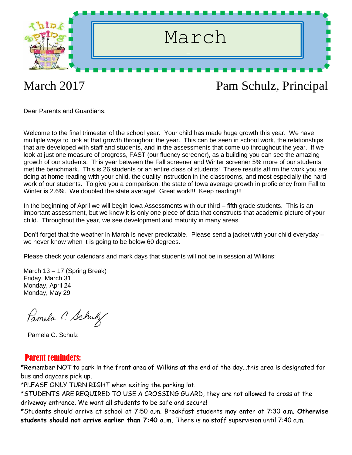

Dear Parents and Guardians,

Welcome to the final trimester of the school year. Your child has made huge growth this year. We have multiple ways to look at that growth throughout the year. This can be seen in school work, the relationships that are developed with staff and students, and in the assessments that come up throughout the year. If we look at just one measure of progress, FAST (our fluency screener), as a building you can see the amazing growth of our students. This year between the Fall screener and Winter screener 5% more of our students met the benchmark. This is 26 students or an entire class of students! These results affirm the work you are doing at home reading with your child, the quality instruction in the classrooms, and most especially the hard work of our students. To give you a comparison, the state of Iowa average growth in proficiency from Fall to Winter is 2.6%. We doubled the state average! Great work!!! Keep reading!!!

In the beginning of April we will begin Iowa Assessments with our third – fifth grade students. This is an important assessment, but we know it is only one piece of data that constructs that academic picture of your child. Throughout the year, we see development and maturity in many areas.

Don't forget that the weather in March is never predictable. Please send a jacket with your child everyday – we never know when it is going to be below 60 degrees.

Please check your calendars and mark days that students will not be in session at Wilkins:

March 13 – 17 (Spring Break) Friday, March 31 Monday, April 24 Monday, May 29

Pamela C. Schulz

Pamela C. Schulz

#### Parent reminders:

\*Remember NOT to park in the front area of Wilkins at the end of the day…this area is designated for bus and daycare pick up.

\*PLEASE ONLY TURN RIGHT when exiting the parking lot.

\*STUDENTS ARE REQUIRED TO USE A CROSSING GUARD, they are not allowed to cross at the driveway entrance. We want all students to be safe and secure!

\*Students should arrive at school at 7:50 a.m. Breakfast students may enter at 7:30 a.m. **Otherwise students should not arrive earlier than 7:40 a.m.** There is no staff supervision until 7:40 a.m.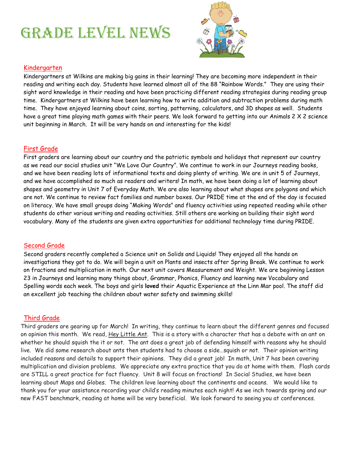# GRADE LEVEL NEWS



#### Kindergarten

Kindergartners at Wilkins are making big gains in their learning! They are becoming more independent in their reading and writing each day. Students have learned almost all of the 88 "Rainbow Words." They are using their sight word knowledge in their reading and have been practicing different reading strategies during reading group time. Kindergartners at Wilkins have been learning how to write addition and subtraction problems during math time. They have enjoyed learning about coins, sorting, patterning, calculators, and 3D shapes as well. Students have a great time playing math games with their peers. We look forward to getting into our Animals 2 X 2 science unit beginning in March. It will be very hands on and interesting for the kids!

#### First Grade

First graders are learning about our country and the patriotic symbols and holidays that represent our country as we read our social studies unit "We Love Our Country". We continue to work in our Journeys reading books, and we have been reading lots of informational texts and doing plenty of writing. We are in unit 5 of Journeys, and we have accomplished so much as readers and writers! In math, we have been doing a lot of learning about shapes and geometry in Unit 7 of Everyday Math. We are also learning about what shapes are polygons and which are not. We continue to review fact families and number boxes. Our PRIDE time at the end of the day is focused on literacy. We have small groups doing "Making Words" and fluency activities using repeated reading while other students do other various writing and reading activities. Still others are working on building their sight word vocabulary. Many of the students are given extra opportunities for additional technology time during PRIDE.

#### Second Grade

Second graders recently completed a Science unit on Solids and Liquids! They enjoyed all the hands on investigations they got to do. We will begin a unit on Plants and insects after Spring Break. We continue to work on fractions and multiplication in math. Our next unit covers Measurement and Weight. We are beginning Lesson 23 in Journeys and learning many things about, Grammar, Phonics, Fluency and learning new Vocabulary and Spelling words each week. The boys and girls **loved** their Aquatic Experience at the Linn Mar pool. The staff did an excellent job teaching the children about water safety and swimming skills!

#### Third Grade

Third graders are gearing up for March! In writing, they continue to learn about the different genres and focused on opinion this month. We read, Hey Little Ant. This is a story with a character that has a debate with an ant on whether he should squish the it or not. The ant does a great job of defending himself with reasons why he should live. We did some research about ants then students had to choose a side…squish or not. Their opinion writing included reasons and details to support their opinions. They did a great job! In math, Unit 7 has been covering multiplication and division problems. We appreciate any extra practice that you do at home with them. Flash cards are STILL a great practice for fact fluency. Unit 8 will focus on fractions! In Social Studies, we have been learning about Maps and Globes. The children love learning about the continents and oceans. We would like to thank you for your assistance recording your child's reading minutes each night! As we inch towards spring and our new FAST benchmark, reading at home will be very beneficial. We look forward to seeing you at conferences.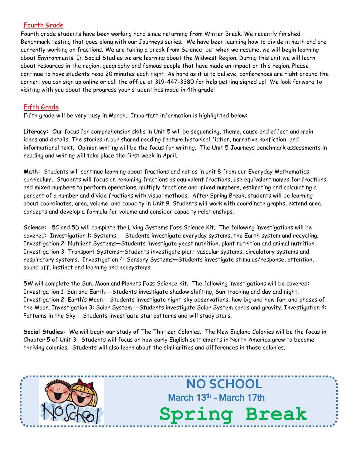#### Fourth Grade

Fourth grade students have been working hard since returning from Winter Break. We recently finished Benchmark testing that goes along with our Journeys series. We have been learning how to divide in math and are currently working on fractions. We are taking a break from Science, but when we resume, we will begin learning about Environments. In Social Studies we are learning about the Midwest Region. During this unit we will learn about resources in the region, geography and famous people that have made an impact on this region. Please continue to have students read 20 minutes each night. As hard as it is to believe, conferences are right around the corner; you can sign up online or call the office at 319-447-3380 for help getting signed up! We look forward to visiting with you about the progress your student has made in 4th grade!

#### Fifth Grade

Fifth grade will be very busy in March. Important information is highlighted below:

**Literacy:** Our focus for comprehension skills in Unit 5 will be sequencing, theme, cause and effect and main ideas and details. The stories in our shared reading feature historical fiction, narrative nonfiction, and informational text. Opinion writing will be the focus for writing. The Unit 5 Journeys benchmark assessments in reading and writing will take place the first week in April.

**Math:** Students will continue learning about fractions and ratios in unit 8 from our Everyday Mathematics curriculum. Students will focus on renaming fractions as equivalent fractions, use equivalent names for fractions and mixed numbers to perform operations, multiply fractions and mixed numbers, estimating and calculating a percent of a number and divide fractions with visual methods. After Spring Break, students will be learning about coordinates, area, volume, and capacity in Unit 9. Students will work with coordinate graphs, extend area concepts and develop a formula for volume and consider capacity relationships.

**Science:** 5C and 5D will complete the Living Systems Foss Science Kit. The following investigations will be covered: Investigation 1: Systems--- Students investigate everyday systems, the Earth system and recycling. Investigation 2: Nutrient Systems—Students investigate yeast nutrition, plant nutrition and animal nutrition. Investigation 3: Transport Systems—Students investigate plant vascular systems, circulatory systems and respiratory systems. Investigation 4: Sensory Systems—Students investigate stimulus/response, attention, sound off, instinct and learning and ecosystems.

5W will complete the Sun, Moon and Planets Foss Science Kit. The following investigations will be covered: Investigation 1: Sun and Earth---Students investigate shadow shifting, Sun tracking and day and night. Investigation 2: Earth's Moon---Students investigate night-sky observations, how big and how far, and phases of the Moon. Investigation 3: Solar System---Students investigate Solar System cards and gravity. Investigation 4: Patterns in the Sky---Students investigate star patterns and will study stars.

**Social Studies:** We will begin our study of The Thirteen Colonies. The New England Colonies will be the focus in Chapter 5 of Unit 3. Students will focus on how early English settlements in North America grew to become thriving colonies. Students will also learn about the similarities and differences in those colonies.



**NO SCHOOL** March 13<sup>th</sup> - March 17th **Spring Break**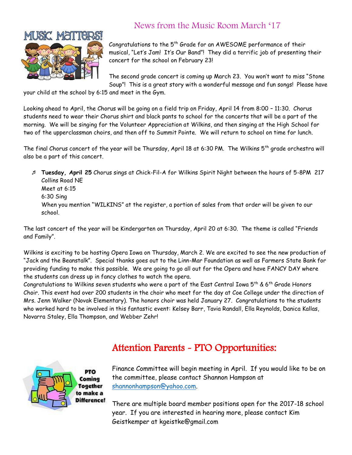

### News from the Music Room March '17

Congratulations to the  $5<sup>th</sup>$  Grade for an AWESOME performance of their musical, "Let's Jam! It's Our Band"! They did a terrific job of presenting their concert for the school on February 23!

The second grade concert is coming up March 23. You won't want to miss "Stone Soup"! This is a great story with a wonderful message and fun songs! Please have

your child at the school by 6:15 and meet in the Gym.

Looking ahead to April, the Chorus will be going on a field trip on Friday, April 14 from 8:00 – 11:30. Chorus students need to wear their Chorus shirt and black pants to school for the concerts that will be a part of the morning. We will be singing for the Volunteer Appreciation at Wilkins, and then singing at the High School for two of the upperclassman choirs, and then off to Summit Pointe. We will return to school on time for lunch.

The final Chorus concert of the year will be Thursday, April 18 at 6:30 PM. The Wilkins 5<sup>th</sup> grade orchestra will also be a part of this concert.

 **Tuesday, April 25** Chorus sings at Chick-Fil-A for Wilkins Spirit Night between the hours of 5-8PM 217 Collins Road NE Meet at 6:15 6:30 Sing When you mention "WILKINS" at the register, a portion of sales from that order will be given to our school.

The last concert of the year will be Kindergarten on Thursday, April 20 at 6:30. The theme is called "Friends and Family".

Wilkins is exciting to be hosting Opera Iowa on Thursday, March 2. We are excited to see the new production of "Jack and the Beanstalk". Special thanks goes out to the Linn-Mar Foundation as well as Farmers State Bank for providing funding to make this possible. We are going to go all out for the Opera and have FANCY DAY where the students can dress up in fancy clothes to watch the opera.

Congratulations to Wilkins seven students who were a part of the East Central Iowa 5<sup>th</sup> & 6<sup>th</sup> Grade Honors Choir. This event had over 200 students in the choir who meet for the day at Coe College under the direction of Mrs. Jenn Walker (Novak Elementary). The honors choir was held January 27. Congratulations to the students who worked hard to be involved in this fantastic event: Kelsey Barr, Tavia Randall, Ella Reynolds, Danica Kallas, Novarra Staley, Ella Thompson, and Webber Zehr!

# Attention Parents - PTO Opportunities:



Finance Committee will begin meeting in April. If you would like to be on the committee, please contact Shannon Hampson at [shannonhampson@yahoo.com.](mailto:shannonhampson@yahoo.com)

There are multiple board member positions open for the 2017-18 school year. If you are interested in hearing more, please contact Kim Geistkemper at kgeistke@gmail.com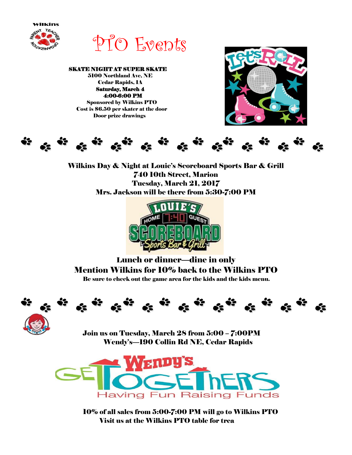

PTO Events

 SKATE NIGHT AT SUPER SKATE 5100 Northland Ave, NE Cedar Rapids, IA Saturday, March 4 4:00-6:00 PM Sponsored by Wilkins PTO Cost is \$6.50 per skater at the door Door prize drawings





Wilkins Day & Night at Louie's Scoreboard Sports Bar & Grill 740 10th Street, Marion Tuesday, March 21, 2017 Mrs. Jackson will be there from 5:30-7:00 PM



Lunch or dinner—dine in only Mention Wilkins for 10% back to the Wilkins PTO Be sure to check out the game area for the kids and the kids menu.





Join us on Tuesday, March 28 from 5:00 – 7:00PM Wendy's—190 Collin Rd NE, Cedar Rapids



10% of all sales from 5:00-7:00 PM will go to Wilkins PTO Visit us at the Wilkins PTO table for trea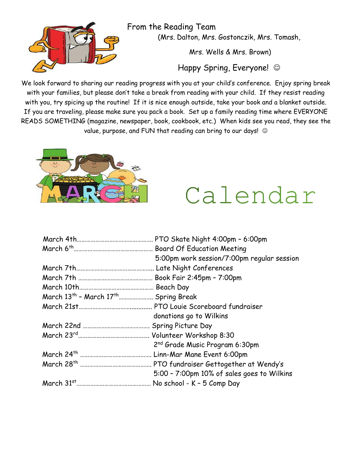

From the Reading Team (Mrs. Dalton, Mrs. Gostonczik, Mrs. Tomash,

Mrs. Wells & Mrs. Brown)

Happy Spring, Everyone! ©

We look forward to sharing our reading progress with you at your child's conference. Enjoy spring break with your families, but please don't take a break from reading with your child. If they resist reading with you, try spicing up the routine! If it is nice enough outside, take your book and a blanket outside. If you are traveling, please make sure you pack a book. Set up a family reading time where EVERYONE READS SOMETHING (magazine, newspaper, book, cookbook, etc.) When kids see you read, they see the value, purpose, and FUN that reading can bring to our days!  $\circledcirc$ 



Calendar

|                                                              | PTO Skate Night 4:00pm - 6:00pm            |
|--------------------------------------------------------------|--------------------------------------------|
|                                                              | <b>Board Of Education Meeting</b>          |
|                                                              | 5:00pm work session/7:00pm regular session |
|                                                              |                                            |
|                                                              | Book Fair 2:45pm - 7:00pm                  |
|                                                              |                                            |
| March 13 <sup>th</sup> - March 17 <sup>th</sup> Spring Break |                                            |
|                                                              |                                            |
|                                                              | donations go to Wilkins                    |
|                                                              | Spring Picture Day                         |
|                                                              |                                            |
|                                                              | 2 <sup>nd</sup> Grade Music Program 6:30pm |
|                                                              | Linn-Mar Mane Event 6:00pm                 |
|                                                              |                                            |
|                                                              | 5:00 - 7:00pm 10% of sales goes to Wilkins |
|                                                              | No school - K - 5 Comp Day                 |